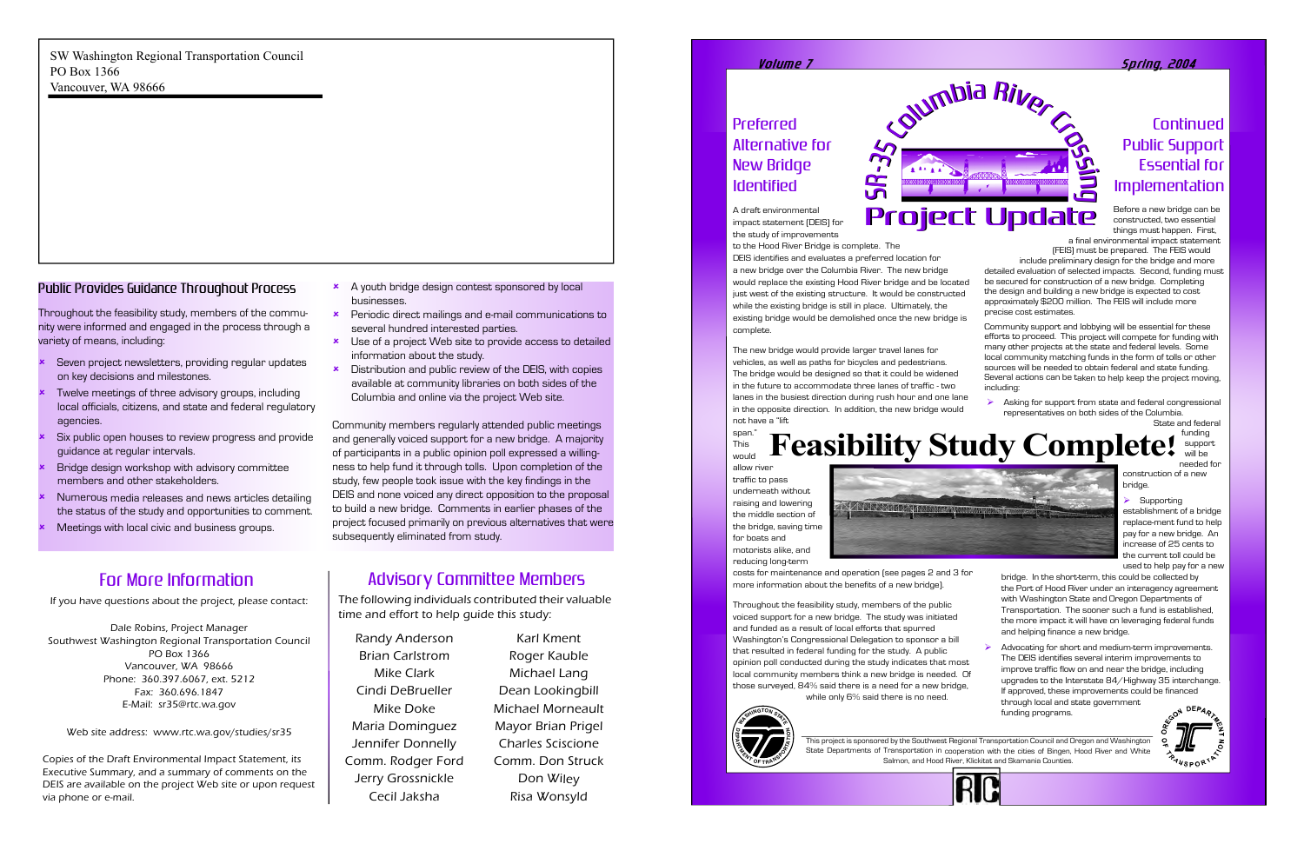UN R

n g

## Preferred Alternative for New Bridge Identified

A draft environmental impact statement (DEIS) for the study of improvements

to the Hood River Bridge is complete. The DEIS identifies and evaluates a preferred location for a new bridge over the Columbia River. The new bridge would replace the existing Hood River bridge and be located just west of the existing structure. It would be constructed while the existing bridge is still in place. Ultimately, the existing bridge would be demolished once the new bridge is complete.

The new bridge would provide larger travel lanes for vehicles, as well as paths for bicycles and pedestrians. The bridge would be designed so that it could be widened in the future to accommodate three lanes of traffic - two lanes in the busiest direction during rush hour and one lane in the opposite direction. In addition, the new bridge would not have a "lift span."

This would



allow river traffic to pass underneath without raising and lowering the middle section of the bridge, saving time for boats and motorists alike, and reducing long-term

costs for maintenance and operation (see pages 2 and 3 for more information about the benefits of a new bridge).

 $\triangleright$  Asking for support from state and federal congressional representatives on both sides of the Columbia. State and federal

Throughout the feasibility study, members of the public voiced support for a new bridge. The study was initiated and funded as a result of local efforts that spurred Washington's Congressional Delegation to sponsor a bill that resulted in federal funding for the study. A public opinion poll conducted during the study indicates that most local community members think a new bridge is needed. Of those surveyed, 84% said there is a need for a new bridge, while only 6% said there is no need.

## Continued Public Support Essential for Implementation

Advocating for short and medium-term improvements. The DEIS identifies several interim improvements to improve traffic flow on and near the bridge, including upgrades to the Interstate 84/Highway 35 interchange. If approved, these improvements could be financed through local and state government funding programs.





Before a new bridge can be constructed, two essential things must happen. First,

UN R

> a final environmental impact statement (FEIS) must be prepared. The FEIS would include preliminary design for the bridge and more detailed evaluation of selected impacts. Second, funding must be secured for construction of a new bridge. Completing the design and building a new bridge is expected to cost approximately \$200 million. The FEIS will include more precise cost estimates.

Community support and lobbying will be essential for these efforts to proceed. This project will compete for funding with many other projects at the state and federal levels. Some local community matching funds in the form of tolls or other sources will be needed to obtain federal and state funding. Several actions can be taken to help keep the project moving, including:

- Sumbia River Columbia

- $\star$  A youth bridge design contest sponsored by local businesses.
- $\star$  Periodic direct mailings and e-mail communications to several hundred interested parties.
- $\star$  Use of a project Web site to provide access to detailed information about the study.
- $\star$  Distribution and public review of the DEIS, with copies available at community libraries on both sides of the Columbia and online via the project Web site.

funding support will be needed for

construction of a new

bridge. Supporting establishment of a bridge replace-ment fund to help pay for a new bridge. An

increase of 25 cents to the current toll could be used to help pay for a new

bridge. In the short-term, this could be collected by the Port of Hood River under an interagency agreement with Washington State and Oregon Departments of Transportation. The sooner such a fund is established, the more impact it will have on leveraging federal funds and helping finance a new bridge.

#### Volum e 7 S p ring, 2004

This project is sponsored by the Southwest Regional Transportation Council and Oregon and Washington State Departments of Transportation in cooperation with the cities of Bingen, Hood River and White Salmon, and Hood River, Klickitat and Skamania Counties.

Project Update Project Update

n g

#### Public Provides Guidance Throughout Process

Throughout the feasibility study, members of the community were informed and engaged in the process through a variety of means, including:

- û Seven project newsletters, providing regular updates on key decisions and milestones.
- û Twelve meetings of three advisory groups, including local officials, citizens, and state and federal regulatory agencies.
- û Six public open houses to review progress and provide guidance at regular intervals.
- û Bridge design workshop with advisory committee members and other stakeholders.
- û Numerous media releases and news articles detailing the status of the study and opportunities to comment.
- ûMeetings with local civic and business groups.

Community members regularly attended public meetings and generally voiced support for a new bridge. A majority of participants in a public opinion poll expressed a willingness to help fund it through tolls. Upon completion of the study, few people took issue with the key findings in the DEIS and none voiced any direct opposition to the proposal to build a new bridge. Comments in earlier phases of the project focused primarily on previous alternatives that were subsequently eliminated from study.

## For More Information

SW Washington Regional Transportation Council PO Box 1366 Vancouver, WA 98666

If you have questions about the project, please contact:

Dale Robins, Project Manager Southwest Washington Regional Transportation Council PO Box 1366 Vancouver, WA 98666 Phone: 360.397.6067, ext. 5212 Fax: 360.696.1847 E-Mail: sr35@rtc.wa.gov

Web site address: www.rtc.wa.gov/studies/sr35

Copies of the Draft Environmental Impact Statement, its Executive Summary, and a summary of comments on the DEIS are available on the project Web site or upon request via phone or e-mail.

The following individuals contributed their valuable time and effort to help guide this study:

Randy Anderson Brian Carlstrom Mike Clark Cindi DeBrueller Mike Doke Maria Dominguez Jennifer Donnelly Comm. Rodger Ford Jerry Grossnickle Cecil Jaksha

Karl Kment Roger Kauble Michael Lang Dean Lookingbill Michael Morneault Mayor Brian Prigel Charles Sciscione Comm. Don Struck Don Wiley Risa Wonsyld

#### Advisory Committee Members

# **Feasibility Study Complete!**